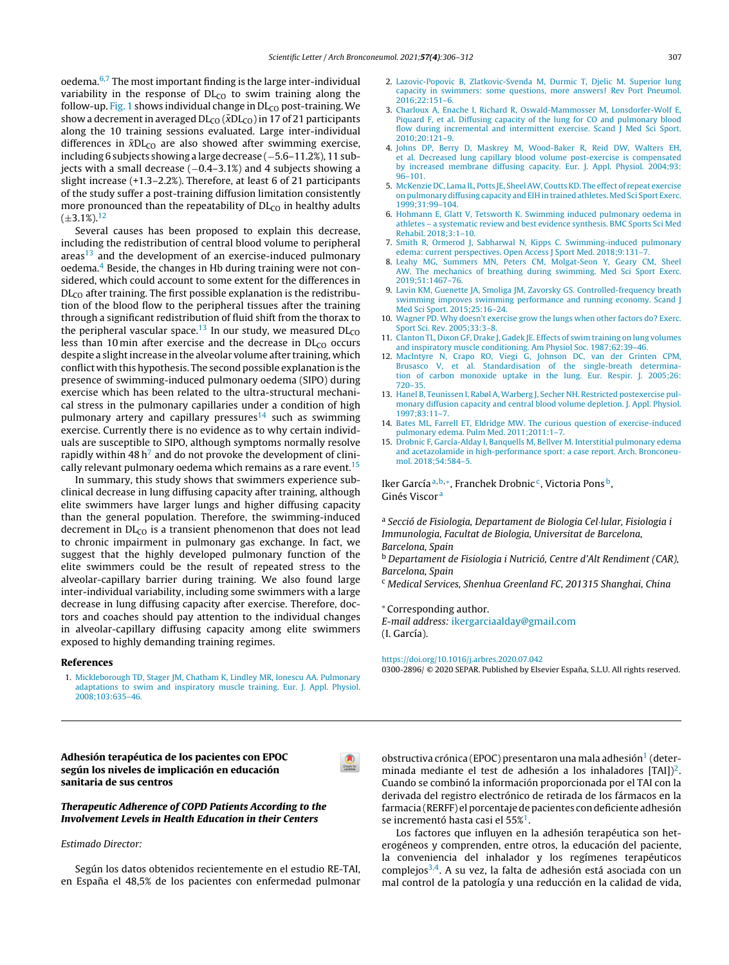oedema. $6,7$  The most important finding is the large inter-individual variability in the response of  $DL<sub>CO</sub>$  to swim training along the follow-up. Fig. 1 shows individual change in  $DL<sub>CO</sub>$  post-training. We show a decrement in averaged  $DL_{CO}$  ( $\bar{x}DL_{CO}$ ) in 17 of 21 participants along the 10 training sessions evaluated. Large inter-individual differences in  $\bar{x}DL_{CO}$  are also showed after swimming exercise, including 6 subjects showing a large decrease (−5.6–[11.2%\),](http://www.archbronconeumol.org) 11 subjects with a small decrease (−0.4–3.1%) and 4 subjects showing a slight increase (+1.3–2.2%). Therefore, at least 6 of 21 participants of the study suffer a post-training diffusion limitation consistently more pronounced than the repeatability of  $DL<sub>CO</sub>$  in healthy [adu](http://crossmark.crossref.org/dialog/?doi=10.1016/j.arbres.2020.09.001&domain=pdf)lts  $(\pm 3.1\%)$ <sup>12</sup>

Several causes has been proposed to explain this decrease, including the redistribution of central blood volume to peripheral areas<sup>13</sup> and the development of an exercise-induced pulmonary oedema.<sup>4</sup> Beside, the changes in Hb during training were not considered, which could account to some extent for the differences in  $DL<sub>CO</sub>$  after training. The first possible explanation is the redistribution of the blood flow to the peripheral tissues after the training through a significant redistribution of fluid shift from the thorax to the peripheral vascular space.<sup>13</sup> In our study, we measured  $DL<sub>CO</sub>$ less than 10 min after exercise and the decrease in  $DL<sub>CO</sub>$  occurs despite a slight increase in the alveolar volume after training, which conflict with this hypothesis. The second possible explanation is the presence of swimming-induced pulmonary oedema (SIPO) during exercise which has been related to the ultra-structural mechanical stress in the pulmonary capillaries under a condition of high pulmonary artery and capillary pressures<sup>14</sup> such as swimming exercise. Currently there is no evidence as to why certain individuals are susceptible to SIPO, although symptoms normally resolve rapidly within 48 h<sup>7</sup> and do not provoke the development of clinically relevant pulmonary oedema which remains as a rare event.<sup>15</sup>

In summary, this study shows that swimmers experience subclinical decrease in lung diffusing capacity after training, although elite swimmers have larger lungs and higher diffusing capacity than the general population. Therefore, the swimming-induced decrement in  $DL<sub>CO</sub>$  is a transient phenomenon that does not lead to chronic impairment in pulmonary gas exchange. In fact, we suggest that the highly developed pulmonary function of the elite swimmers could be the result of repeated stress to the alveolar-capillary barrier during training. We also found large inter-individual variability, including some swimmers with a large decrease in lung diffusing capacity after exercise. Therefore, doctors and coaches should pay attention to the individual changes in alveolar-capillary diffusing capacity among elite swimmers exposed to highly demanding training regimes.

#### References

1. [Mickleborough](http://refhub.elsevier.com/S0300-2896(20)30286-6/sbref0080) [TD,](http://refhub.elsevier.com/S0300-2896(20)30286-6/sbref0080) [Stager](http://refhub.elsevier.com/S0300-2896(20)30286-6/sbref0080) [JM,](http://refhub.elsevier.com/S0300-2896(20)30286-6/sbref0080) [Chatham](http://refhub.elsevier.com/S0300-2896(20)30286-6/sbref0080) [K,](http://refhub.elsevier.com/S0300-2896(20)30286-6/sbref0080) [Lindley](http://refhub.elsevier.com/S0300-2896(20)30286-6/sbref0080) [MR,](http://refhub.elsevier.com/S0300-2896(20)30286-6/sbref0080) [Ionescu](http://refhub.elsevier.com/S0300-2896(20)30286-6/sbref0080) [AA.](http://refhub.elsevier.com/S0300-2896(20)30286-6/sbref0080) [Pulmonary](http://refhub.elsevier.com/S0300-2896(20)30286-6/sbref0080) [adaptations](http://refhub.elsevier.com/S0300-2896(20)30286-6/sbref0080) [to](http://refhub.elsevier.com/S0300-2896(20)30286-6/sbref0080) [swim](http://refhub.elsevier.com/S0300-2896(20)30286-6/sbref0080) [and](http://refhub.elsevier.com/S0300-2896(20)30286-6/sbref0080) [inspiratory](http://refhub.elsevier.com/S0300-2896(20)30286-6/sbref0080) [muscle](http://refhub.elsevier.com/S0300-2896(20)30286-6/sbref0080) [training.](http://refhub.elsevier.com/S0300-2896(20)30286-6/sbref0080) [Eur.](http://refhub.elsevier.com/S0300-2896(20)30286-6/sbref0080) [J.](http://refhub.elsevier.com/S0300-2896(20)30286-6/sbref0080) [Appl.](http://refhub.elsevier.com/S0300-2896(20)30286-6/sbref0080) [Physiol.](http://refhub.elsevier.com/S0300-2896(20)30286-6/sbref0080) [2008;103:635](http://refhub.elsevier.com/S0300-2896(20)30286-6/sbref0080)–[46.](http://refhub.elsevier.com/S0300-2896(20)30286-6/sbref0080)

- 2. [Lazovic-Popovic](http://refhub.elsevier.com/S0300-2896(20)30286-6/sbref0085) [B,](http://refhub.elsevier.com/S0300-2896(20)30286-6/sbref0085) [Zlatkovic-Svenda](http://refhub.elsevier.com/S0300-2896(20)30286-6/sbref0085) [M,](http://refhub.elsevier.com/S0300-2896(20)30286-6/sbref0085) [Durmic](http://refhub.elsevier.com/S0300-2896(20)30286-6/sbref0085) [T,](http://refhub.elsevier.com/S0300-2896(20)30286-6/sbref0085) [Djelic](http://refhub.elsevier.com/S0300-2896(20)30286-6/sbref0085) [M.](http://refhub.elsevier.com/S0300-2896(20)30286-6/sbref0085) [Superior](http://refhub.elsevier.com/S0300-2896(20)30286-6/sbref0085) [lung](http://refhub.elsevier.com/S0300-2896(20)30286-6/sbref0085) [capacity](http://refhub.elsevier.com/S0300-2896(20)30286-6/sbref0085) [in](http://refhub.elsevier.com/S0300-2896(20)30286-6/sbref0085) [swimmers:](http://refhub.elsevier.com/S0300-2896(20)30286-6/sbref0085) [some](http://refhub.elsevier.com/S0300-2896(20)30286-6/sbref0085) [questions,](http://refhub.elsevier.com/S0300-2896(20)30286-6/sbref0085) [more](http://refhub.elsevier.com/S0300-2896(20)30286-6/sbref0085) [answers!](http://refhub.elsevier.com/S0300-2896(20)30286-6/sbref0085) [Rev](http://refhub.elsevier.com/S0300-2896(20)30286-6/sbref0085) [Port](http://refhub.elsevier.com/S0300-2896(20)30286-6/sbref0085) [Pneumol.](http://refhub.elsevier.com/S0300-2896(20)30286-6/sbref0085) [2016;22:151](http://refhub.elsevier.com/S0300-2896(20)30286-6/sbref0085)–[6.](http://refhub.elsevier.com/S0300-2896(20)30286-6/sbref0085)
- 3. [Charloux](http://refhub.elsevier.com/S0300-2896(20)30286-6/sbref0090) [A,](http://refhub.elsevier.com/S0300-2896(20)30286-6/sbref0090) [Enache](http://refhub.elsevier.com/S0300-2896(20)30286-6/sbref0090) [I,](http://refhub.elsevier.com/S0300-2896(20)30286-6/sbref0090) [Richard](http://refhub.elsevier.com/S0300-2896(20)30286-6/sbref0090) [R,](http://refhub.elsevier.com/S0300-2896(20)30286-6/sbref0090) [Oswald-Mammosser](http://refhub.elsevier.com/S0300-2896(20)30286-6/sbref0090) [M,](http://refhub.elsevier.com/S0300-2896(20)30286-6/sbref0090) [Lonsdorfer-Wolf](http://refhub.elsevier.com/S0300-2896(20)30286-6/sbref0090) [E,](http://refhub.elsevier.com/S0300-2896(20)30286-6/sbref0090) [Piquard](http://refhub.elsevier.com/S0300-2896(20)30286-6/sbref0090) [F,](http://refhub.elsevier.com/S0300-2896(20)30286-6/sbref0090) [et](http://refhub.elsevier.com/S0300-2896(20)30286-6/sbref0090) [al.](http://refhub.elsevier.com/S0300-2896(20)30286-6/sbref0090) [Diffusing](http://refhub.elsevier.com/S0300-2896(20)30286-6/sbref0090) [capacity](http://refhub.elsevier.com/S0300-2896(20)30286-6/sbref0090) [of](http://refhub.elsevier.com/S0300-2896(20)30286-6/sbref0090) [the](http://refhub.elsevier.com/S0300-2896(20)30286-6/sbref0090) [lung](http://refhub.elsevier.com/S0300-2896(20)30286-6/sbref0090) [for](http://refhub.elsevier.com/S0300-2896(20)30286-6/sbref0090) [CO](http://refhub.elsevier.com/S0300-2896(20)30286-6/sbref0090) [and](http://refhub.elsevier.com/S0300-2896(20)30286-6/sbref0090) [pulmonary](http://refhub.elsevier.com/S0300-2896(20)30286-6/sbref0090) [blood](http://refhub.elsevier.com/S0300-2896(20)30286-6/sbref0090) [flow](http://refhub.elsevier.com/S0300-2896(20)30286-6/sbref0090) [during](http://refhub.elsevier.com/S0300-2896(20)30286-6/sbref0090) [incremental](http://refhub.elsevier.com/S0300-2896(20)30286-6/sbref0090) [and](http://refhub.elsevier.com/S0300-2896(20)30286-6/sbref0090) [intermittent](http://refhub.elsevier.com/S0300-2896(20)30286-6/sbref0090) [exercise.](http://refhub.elsevier.com/S0300-2896(20)30286-6/sbref0090) [Scand](http://refhub.elsevier.com/S0300-2896(20)30286-6/sbref0090) [J](http://refhub.elsevier.com/S0300-2896(20)30286-6/sbref0090) [Med](http://refhub.elsevier.com/S0300-2896(20)30286-6/sbref0090) [Sci](http://refhub.elsevier.com/S0300-2896(20)30286-6/sbref0090) [Sport.](http://refhub.elsevier.com/S0300-2896(20)30286-6/sbref0090) [2010;20:121](http://refhub.elsevier.com/S0300-2896(20)30286-6/sbref0090)–[9.](http://refhub.elsevier.com/S0300-2896(20)30286-6/sbref0090)
- 4. [Johns](http://refhub.elsevier.com/S0300-2896(20)30286-6/sbref0095) [DP,](http://refhub.elsevier.com/S0300-2896(20)30286-6/sbref0095) [Berry](http://refhub.elsevier.com/S0300-2896(20)30286-6/sbref0095) [D,](http://refhub.elsevier.com/S0300-2896(20)30286-6/sbref0095) [Maskrey](http://refhub.elsevier.com/S0300-2896(20)30286-6/sbref0095) [M,](http://refhub.elsevier.com/S0300-2896(20)30286-6/sbref0095) [Wood-Baker](http://refhub.elsevier.com/S0300-2896(20)30286-6/sbref0095) [R,](http://refhub.elsevier.com/S0300-2896(20)30286-6/sbref0095) [Reid](http://refhub.elsevier.com/S0300-2896(20)30286-6/sbref0095) [DW,](http://refhub.elsevier.com/S0300-2896(20)30286-6/sbref0095) [Walters](http://refhub.elsevier.com/S0300-2896(20)30286-6/sbref0095) [EH,](http://refhub.elsevier.com/S0300-2896(20)30286-6/sbref0095) [et](http://refhub.elsevier.com/S0300-2896(20)30286-6/sbref0095) [al.](http://refhub.elsevier.com/S0300-2896(20)30286-6/sbref0095) [Decreased](http://refhub.elsevier.com/S0300-2896(20)30286-6/sbref0095) [lung](http://refhub.elsevier.com/S0300-2896(20)30286-6/sbref0095) [capillary](http://refhub.elsevier.com/S0300-2896(20)30286-6/sbref0095) [blood](http://refhub.elsevier.com/S0300-2896(20)30286-6/sbref0095) [volume](http://refhub.elsevier.com/S0300-2896(20)30286-6/sbref0095) [post-exercise](http://refhub.elsevier.com/S0300-2896(20)30286-6/sbref0095) [is](http://refhub.elsevier.com/S0300-2896(20)30286-6/sbref0095) [compensated](http://refhub.elsevier.com/S0300-2896(20)30286-6/sbref0095) [by](http://refhub.elsevier.com/S0300-2896(20)30286-6/sbref0095) [increased](http://refhub.elsevier.com/S0300-2896(20)30286-6/sbref0095) [membrane](http://refhub.elsevier.com/S0300-2896(20)30286-6/sbref0095) [diffusing](http://refhub.elsevier.com/S0300-2896(20)30286-6/sbref0095) [capacity.](http://refhub.elsevier.com/S0300-2896(20)30286-6/sbref0095) [Eur.](http://refhub.elsevier.com/S0300-2896(20)30286-6/sbref0095) [J.](http://refhub.elsevier.com/S0300-2896(20)30286-6/sbref0095) [Appl.](http://refhub.elsevier.com/S0300-2896(20)30286-6/sbref0095) [Physiol.](http://refhub.elsevier.com/S0300-2896(20)30286-6/sbref0095) [2004;93:](http://refhub.elsevier.com/S0300-2896(20)30286-6/sbref0095) [96–101.](http://refhub.elsevier.com/S0300-2896(20)30286-6/sbref0095)
- 5. [McKenzie](http://refhub.elsevier.com/S0300-2896(20)30286-6/sbref0100) [DC,](http://refhub.elsevier.com/S0300-2896(20)30286-6/sbref0100) [Lama](http://refhub.elsevier.com/S0300-2896(20)30286-6/sbref0100) [IL,](http://refhub.elsevier.com/S0300-2896(20)30286-6/sbref0100) [Potts](http://refhub.elsevier.com/S0300-2896(20)30286-6/sbref0100) [JE,](http://refhub.elsevier.com/S0300-2896(20)30286-6/sbref0100) [SheelAW,](http://refhub.elsevier.com/S0300-2896(20)30286-6/sbref0100) [CouttsKD.](http://refhub.elsevier.com/S0300-2896(20)30286-6/sbref0100) [The](http://refhub.elsevier.com/S0300-2896(20)30286-6/sbref0100) [effect](http://refhub.elsevier.com/S0300-2896(20)30286-6/sbref0100) [of](http://refhub.elsevier.com/S0300-2896(20)30286-6/sbref0100) [repeat](http://refhub.elsevier.com/S0300-2896(20)30286-6/sbref0100) [exercise](http://refhub.elsevier.com/S0300-2896(20)30286-6/sbref0100) [on](http://refhub.elsevier.com/S0300-2896(20)30286-6/sbref0100) [pulmonary](http://refhub.elsevier.com/S0300-2896(20)30286-6/sbref0100) [diffusing](http://refhub.elsevier.com/S0300-2896(20)30286-6/sbref0100) [capacity](http://refhub.elsevier.com/S0300-2896(20)30286-6/sbref0100) [and](http://refhub.elsevier.com/S0300-2896(20)30286-6/sbref0100) [EIH](http://refhub.elsevier.com/S0300-2896(20)30286-6/sbref0100) [in](http://refhub.elsevier.com/S0300-2896(20)30286-6/sbref0100) [trained](http://refhub.elsevier.com/S0300-2896(20)30286-6/sbref0100) [athletes.](http://refhub.elsevier.com/S0300-2896(20)30286-6/sbref0100) [Med](http://refhub.elsevier.com/S0300-2896(20)30286-6/sbref0100) [Sci](http://refhub.elsevier.com/S0300-2896(20)30286-6/sbref0100) [Sport](http://refhub.elsevier.com/S0300-2896(20)30286-6/sbref0100) [Exerc.](http://refhub.elsevier.com/S0300-2896(20)30286-6/sbref0100) [1999;31:99–104.](http://refhub.elsevier.com/S0300-2896(20)30286-6/sbref0100)
- 6. [Hohmann](http://refhub.elsevier.com/S0300-2896(20)30286-6/sbref0105) [E,](http://refhub.elsevier.com/S0300-2896(20)30286-6/sbref0105) [Glatt](http://refhub.elsevier.com/S0300-2896(20)30286-6/sbref0105) [V,](http://refhub.elsevier.com/S0300-2896(20)30286-6/sbref0105) [Tetsworth](http://refhub.elsevier.com/S0300-2896(20)30286-6/sbref0105) [K.](http://refhub.elsevier.com/S0300-2896(20)30286-6/sbref0105) [Swimming](http://refhub.elsevier.com/S0300-2896(20)30286-6/sbref0105) [induced](http://refhub.elsevier.com/S0300-2896(20)30286-6/sbref0105) [pulmonary](http://refhub.elsevier.com/S0300-2896(20)30286-6/sbref0105) [oedema](http://refhub.elsevier.com/S0300-2896(20)30286-6/sbref0105) [in](http://refhub.elsevier.com/S0300-2896(20)30286-6/sbref0105) [athletes](http://refhub.elsevier.com/S0300-2896(20)30286-6/sbref0105) [–](http://refhub.elsevier.com/S0300-2896(20)30286-6/sbref0105) [a](http://refhub.elsevier.com/S0300-2896(20)30286-6/sbref0105) [systematic](http://refhub.elsevier.com/S0300-2896(20)30286-6/sbref0105) [review](http://refhub.elsevier.com/S0300-2896(20)30286-6/sbref0105) [and](http://refhub.elsevier.com/S0300-2896(20)30286-6/sbref0105) [best](http://refhub.elsevier.com/S0300-2896(20)30286-6/sbref0105) [evidence](http://refhub.elsevier.com/S0300-2896(20)30286-6/sbref0105) [synthesis.](http://refhub.elsevier.com/S0300-2896(20)30286-6/sbref0105) [BMC](http://refhub.elsevier.com/S0300-2896(20)30286-6/sbref0105) [Sports](http://refhub.elsevier.com/S0300-2896(20)30286-6/sbref0105) [Sci](http://refhub.elsevier.com/S0300-2896(20)30286-6/sbref0105) [Med](http://refhub.elsevier.com/S0300-2896(20)30286-6/sbref0105) [Rehabil.](http://refhub.elsevier.com/S0300-2896(20)30286-6/sbref0105) [2018;3:1–10.](http://refhub.elsevier.com/S0300-2896(20)30286-6/sbref0105)
- 7. [Smith](http://refhub.elsevier.com/S0300-2896(20)30286-6/sbref0110) [R,](http://refhub.elsevier.com/S0300-2896(20)30286-6/sbref0110) [Ormerod](http://refhub.elsevier.com/S0300-2896(20)30286-6/sbref0110) [J,](http://refhub.elsevier.com/S0300-2896(20)30286-6/sbref0110) [Sabharwal](http://refhub.elsevier.com/S0300-2896(20)30286-6/sbref0110) [N,](http://refhub.elsevier.com/S0300-2896(20)30286-6/sbref0110) [Kipps](http://refhub.elsevier.com/S0300-2896(20)30286-6/sbref0110) [C.](http://refhub.elsevier.com/S0300-2896(20)30286-6/sbref0110) [Swimming-induced](http://refhub.elsevier.com/S0300-2896(20)30286-6/sbref0110) [pulmonary](http://refhub.elsevier.com/S0300-2896(20)30286-6/sbref0110) [edema:](http://refhub.elsevier.com/S0300-2896(20)30286-6/sbref0110) [current](http://refhub.elsevier.com/S0300-2896(20)30286-6/sbref0110) [perspectives.](http://refhub.elsevier.com/S0300-2896(20)30286-6/sbref0110) [Open](http://refhub.elsevier.com/S0300-2896(20)30286-6/sbref0110) [Access](http://refhub.elsevier.com/S0300-2896(20)30286-6/sbref0110) [J](http://refhub.elsevier.com/S0300-2896(20)30286-6/sbref0110) [Sport](http://refhub.elsevier.com/S0300-2896(20)30286-6/sbref0110) [Med.](http://refhub.elsevier.com/S0300-2896(20)30286-6/sbref0110) [2018;9:131–7.](http://refhub.elsevier.com/S0300-2896(20)30286-6/sbref0110)
- 8. [Leahy](http://refhub.elsevier.com/S0300-2896(20)30286-6/sbref0115) [MG,](http://refhub.elsevier.com/S0300-2896(20)30286-6/sbref0115) [Summers](http://refhub.elsevier.com/S0300-2896(20)30286-6/sbref0115) [MN,](http://refhub.elsevier.com/S0300-2896(20)30286-6/sbref0115) [Peters](http://refhub.elsevier.com/S0300-2896(20)30286-6/sbref0115) [CM,](http://refhub.elsevier.com/S0300-2896(20)30286-6/sbref0115) [Molgat-Seon](http://refhub.elsevier.com/S0300-2896(20)30286-6/sbref0115) [Y,](http://refhub.elsevier.com/S0300-2896(20)30286-6/sbref0115) [Geary](http://refhub.elsevier.com/S0300-2896(20)30286-6/sbref0115) [CM,](http://refhub.elsevier.com/S0300-2896(20)30286-6/sbref0115) [Sheel](http://refhub.elsevier.com/S0300-2896(20)30286-6/sbref0115) [AW.](http://refhub.elsevier.com/S0300-2896(20)30286-6/sbref0115) [The](http://refhub.elsevier.com/S0300-2896(20)30286-6/sbref0115) [mechanics](http://refhub.elsevier.com/S0300-2896(20)30286-6/sbref0115) [of](http://refhub.elsevier.com/S0300-2896(20)30286-6/sbref0115) [breathing](http://refhub.elsevier.com/S0300-2896(20)30286-6/sbref0115) [during](http://refhub.elsevier.com/S0300-2896(20)30286-6/sbref0115) [swimming.](http://refhub.elsevier.com/S0300-2896(20)30286-6/sbref0115) [Med](http://refhub.elsevier.com/S0300-2896(20)30286-6/sbref0115) [Sci](http://refhub.elsevier.com/S0300-2896(20)30286-6/sbref0115) [Sport](http://refhub.elsevier.com/S0300-2896(20)30286-6/sbref0115) [Exerc.](http://refhub.elsevier.com/S0300-2896(20)30286-6/sbref0115) [2019;51:1467–76.](http://refhub.elsevier.com/S0300-2896(20)30286-6/sbref0115)
- 9. [Lavin](http://refhub.elsevier.com/S0300-2896(20)30286-6/sbref0120) [KM,](http://refhub.elsevier.com/S0300-2896(20)30286-6/sbref0120) [Guenette](http://refhub.elsevier.com/S0300-2896(20)30286-6/sbref0120) [JA,](http://refhub.elsevier.com/S0300-2896(20)30286-6/sbref0120) [Smoliga](http://refhub.elsevier.com/S0300-2896(20)30286-6/sbref0120) [JM,](http://refhub.elsevier.com/S0300-2896(20)30286-6/sbref0120) [Zavorsky](http://refhub.elsevier.com/S0300-2896(20)30286-6/sbref0120) [GS.](http://refhub.elsevier.com/S0300-2896(20)30286-6/sbref0120) [Controlled-frequency](http://refhub.elsevier.com/S0300-2896(20)30286-6/sbref0120) [breath](http://refhub.elsevier.com/S0300-2896(20)30286-6/sbref0120) [swimming](http://refhub.elsevier.com/S0300-2896(20)30286-6/sbref0120) [improves](http://refhub.elsevier.com/S0300-2896(20)30286-6/sbref0120) [swimming](http://refhub.elsevier.com/S0300-2896(20)30286-6/sbref0120) [performance](http://refhub.elsevier.com/S0300-2896(20)30286-6/sbref0120) [and](http://refhub.elsevier.com/S0300-2896(20)30286-6/sbref0120) [running](http://refhub.elsevier.com/S0300-2896(20)30286-6/sbref0120) [economy.](http://refhub.elsevier.com/S0300-2896(20)30286-6/sbref0120) [Scand](http://refhub.elsevier.com/S0300-2896(20)30286-6/sbref0120) [J](http://refhub.elsevier.com/S0300-2896(20)30286-6/sbref0120) [Med](http://refhub.elsevier.com/S0300-2896(20)30286-6/sbref0120) [Sci](http://refhub.elsevier.com/S0300-2896(20)30286-6/sbref0120) [Sport.](http://refhub.elsevier.com/S0300-2896(20)30286-6/sbref0120) [2015;25:16–24.](http://refhub.elsevier.com/S0300-2896(20)30286-6/sbref0120)
- 10. [Wagner](http://refhub.elsevier.com/S0300-2896(20)30286-6/sbref0125) [PD.](http://refhub.elsevier.com/S0300-2896(20)30286-6/sbref0125) [Why](http://refhub.elsevier.com/S0300-2896(20)30286-6/sbref0125) [doesn't](http://refhub.elsevier.com/S0300-2896(20)30286-6/sbref0125) [exercise](http://refhub.elsevier.com/S0300-2896(20)30286-6/sbref0125) [grow](http://refhub.elsevier.com/S0300-2896(20)30286-6/sbref0125) [the](http://refhub.elsevier.com/S0300-2896(20)30286-6/sbref0125) [lungs](http://refhub.elsevier.com/S0300-2896(20)30286-6/sbref0125) [when](http://refhub.elsevier.com/S0300-2896(20)30286-6/sbref0125) [other](http://refhub.elsevier.com/S0300-2896(20)30286-6/sbref0125) [factors](http://refhub.elsevier.com/S0300-2896(20)30286-6/sbref0125) [do?](http://refhub.elsevier.com/S0300-2896(20)30286-6/sbref0125) [Exerc.](http://refhub.elsevier.com/S0300-2896(20)30286-6/sbref0125) [Sport](http://refhub.elsevier.com/S0300-2896(20)30286-6/sbref0125) [Sci.](http://refhub.elsevier.com/S0300-2896(20)30286-6/sbref0125) [Rev.](http://refhub.elsevier.com/S0300-2896(20)30286-6/sbref0125) [2005;33:3](http://refhub.elsevier.com/S0300-2896(20)30286-6/sbref0125)–[8.](http://refhub.elsevier.com/S0300-2896(20)30286-6/sbref0125)
- 11. [Clanton](http://refhub.elsevier.com/S0300-2896(20)30286-6/sbref0130) [TL,](http://refhub.elsevier.com/S0300-2896(20)30286-6/sbref0130) [Dixon](http://refhub.elsevier.com/S0300-2896(20)30286-6/sbref0130) [GF,](http://refhub.elsevier.com/S0300-2896(20)30286-6/sbref0130) [Drake](http://refhub.elsevier.com/S0300-2896(20)30286-6/sbref0130) [J,](http://refhub.elsevier.com/S0300-2896(20)30286-6/sbref0130) [Gadek](http://refhub.elsevier.com/S0300-2896(20)30286-6/sbref0130) [JE.](http://refhub.elsevier.com/S0300-2896(20)30286-6/sbref0130) [Effects](http://refhub.elsevier.com/S0300-2896(20)30286-6/sbref0130) [of](http://refhub.elsevier.com/S0300-2896(20)30286-6/sbref0130) [swim](http://refhub.elsevier.com/S0300-2896(20)30286-6/sbref0130) [training](http://refhub.elsevier.com/S0300-2896(20)30286-6/sbref0130) [on](http://refhub.elsevier.com/S0300-2896(20)30286-6/sbref0130) [lung](http://refhub.elsevier.com/S0300-2896(20)30286-6/sbref0130) [volumes](http://refhub.elsevier.com/S0300-2896(20)30286-6/sbref0130) [and](http://refhub.elsevier.com/S0300-2896(20)30286-6/sbref0130) [inspiratory](http://refhub.elsevier.com/S0300-2896(20)30286-6/sbref0130) [muscle](http://refhub.elsevier.com/S0300-2896(20)30286-6/sbref0130) [conditioning.](http://refhub.elsevier.com/S0300-2896(20)30286-6/sbref0130) [Am](http://refhub.elsevier.com/S0300-2896(20)30286-6/sbref0130) [Physiol](http://refhub.elsevier.com/S0300-2896(20)30286-6/sbref0130) [Soc.](http://refhub.elsevier.com/S0300-2896(20)30286-6/sbref0130) [1987;62:39–46.](http://refhub.elsevier.com/S0300-2896(20)30286-6/sbref0130)
- 12. [MacIntyre](http://refhub.elsevier.com/S0300-2896(20)30286-6/sbref0135) [N,](http://refhub.elsevier.com/S0300-2896(20)30286-6/sbref0135) [Crapo](http://refhub.elsevier.com/S0300-2896(20)30286-6/sbref0135) [RO,](http://refhub.elsevier.com/S0300-2896(20)30286-6/sbref0135) [Viegi](http://refhub.elsevier.com/S0300-2896(20)30286-6/sbref0135) [G,](http://refhub.elsevier.com/S0300-2896(20)30286-6/sbref0135) [Johnson](http://refhub.elsevier.com/S0300-2896(20)30286-6/sbref0135) [DC,](http://refhub.elsevier.com/S0300-2896(20)30286-6/sbref0135) [van](http://refhub.elsevier.com/S0300-2896(20)30286-6/sbref0135) [der](http://refhub.elsevier.com/S0300-2896(20)30286-6/sbref0135) [Grinten](http://refhub.elsevier.com/S0300-2896(20)30286-6/sbref0135) [CPM,](http://refhub.elsevier.com/S0300-2896(20)30286-6/sbref0135) [Brusasco](http://refhub.elsevier.com/S0300-2896(20)30286-6/sbref0135) [V,](http://refhub.elsevier.com/S0300-2896(20)30286-6/sbref0135) [et](http://refhub.elsevier.com/S0300-2896(20)30286-6/sbref0135) [al.](http://refhub.elsevier.com/S0300-2896(20)30286-6/sbref0135) [Standardisation](http://refhub.elsevier.com/S0300-2896(20)30286-6/sbref0135) [of](http://refhub.elsevier.com/S0300-2896(20)30286-6/sbref0135) [the](http://refhub.elsevier.com/S0300-2896(20)30286-6/sbref0135) [single-breath](http://refhub.elsevier.com/S0300-2896(20)30286-6/sbref0135) [determina](http://refhub.elsevier.com/S0300-2896(20)30286-6/sbref0135)[tion](http://refhub.elsevier.com/S0300-2896(20)30286-6/sbref0135) [of](http://refhub.elsevier.com/S0300-2896(20)30286-6/sbref0135) [carbon](http://refhub.elsevier.com/S0300-2896(20)30286-6/sbref0135) [monoxide](http://refhub.elsevier.com/S0300-2896(20)30286-6/sbref0135) [uptake](http://refhub.elsevier.com/S0300-2896(20)30286-6/sbref0135) [in](http://refhub.elsevier.com/S0300-2896(20)30286-6/sbref0135) [the](http://refhub.elsevier.com/S0300-2896(20)30286-6/sbref0135) [lung.](http://refhub.elsevier.com/S0300-2896(20)30286-6/sbref0135) [Eur.](http://refhub.elsevier.com/S0300-2896(20)30286-6/sbref0135) [Respir.](http://refhub.elsevier.com/S0300-2896(20)30286-6/sbref0135) [J.](http://refhub.elsevier.com/S0300-2896(20)30286-6/sbref0135) [2005;26:](http://refhub.elsevier.com/S0300-2896(20)30286-6/sbref0135) [720](http://refhub.elsevier.com/S0300-2896(20)30286-6/sbref0135)–[35.](http://refhub.elsevier.com/S0300-2896(20)30286-6/sbref0135)
- 13. [Hanel](http://refhub.elsevier.com/S0300-2896(20)30286-6/sbref0140) [B,](http://refhub.elsevier.com/S0300-2896(20)30286-6/sbref0140) [Teunissen](http://refhub.elsevier.com/S0300-2896(20)30286-6/sbref0140) [I,](http://refhub.elsevier.com/S0300-2896(20)30286-6/sbref0140) [Rabøl](http://refhub.elsevier.com/S0300-2896(20)30286-6/sbref0140) [A,](http://refhub.elsevier.com/S0300-2896(20)30286-6/sbref0140) [Warberg](http://refhub.elsevier.com/S0300-2896(20)30286-6/sbref0140) [J,](http://refhub.elsevier.com/S0300-2896(20)30286-6/sbref0140) [Secher](http://refhub.elsevier.com/S0300-2896(20)30286-6/sbref0140) [NH.](http://refhub.elsevier.com/S0300-2896(20)30286-6/sbref0140) [Restricted](http://refhub.elsevier.com/S0300-2896(20)30286-6/sbref0140) [postexercise](http://refhub.elsevier.com/S0300-2896(20)30286-6/sbref0140) [pul](http://refhub.elsevier.com/S0300-2896(20)30286-6/sbref0140)[monary](http://refhub.elsevier.com/S0300-2896(20)30286-6/sbref0140) [diffusion](http://refhub.elsevier.com/S0300-2896(20)30286-6/sbref0140) [capacity](http://refhub.elsevier.com/S0300-2896(20)30286-6/sbref0140) [and](http://refhub.elsevier.com/S0300-2896(20)30286-6/sbref0140) [central](http://refhub.elsevier.com/S0300-2896(20)30286-6/sbref0140) [blood](http://refhub.elsevier.com/S0300-2896(20)30286-6/sbref0140) [volume](http://refhub.elsevier.com/S0300-2896(20)30286-6/sbref0140) [depletion.](http://refhub.elsevier.com/S0300-2896(20)30286-6/sbref0140) [J.](http://refhub.elsevier.com/S0300-2896(20)30286-6/sbref0140) [Appl.](http://refhub.elsevier.com/S0300-2896(20)30286-6/sbref0140) [Physiol.](http://refhub.elsevier.com/S0300-2896(20)30286-6/sbref0140) [1997;83:11](http://refhub.elsevier.com/S0300-2896(20)30286-6/sbref0140)–[7.](http://refhub.elsevier.com/S0300-2896(20)30286-6/sbref0140)
- 14. [Bates](http://refhub.elsevier.com/S0300-2896(20)30286-6/sbref0145) [ML,](http://refhub.elsevier.com/S0300-2896(20)30286-6/sbref0145) [Farrell](http://refhub.elsevier.com/S0300-2896(20)30286-6/sbref0145) [ET,](http://refhub.elsevier.com/S0300-2896(20)30286-6/sbref0145) [Eldridge](http://refhub.elsevier.com/S0300-2896(20)30286-6/sbref0145) [MW.](http://refhub.elsevier.com/S0300-2896(20)30286-6/sbref0145) [The](http://refhub.elsevier.com/S0300-2896(20)30286-6/sbref0145) [curious](http://refhub.elsevier.com/S0300-2896(20)30286-6/sbref0145) [question](http://refhub.elsevier.com/S0300-2896(20)30286-6/sbref0145) [of](http://refhub.elsevier.com/S0300-2896(20)30286-6/sbref0145) [exercise-induced](http://refhub.elsevier.com/S0300-2896(20)30286-6/sbref0145) [pulmonary](http://refhub.elsevier.com/S0300-2896(20)30286-6/sbref0145) [edema.](http://refhub.elsevier.com/S0300-2896(20)30286-6/sbref0145) [Pulm](http://refhub.elsevier.com/S0300-2896(20)30286-6/sbref0145) [Med.](http://refhub.elsevier.com/S0300-2896(20)30286-6/sbref0145) [2011;2011:1](http://refhub.elsevier.com/S0300-2896(20)30286-6/sbref0145)–[7.](http://refhub.elsevier.com/S0300-2896(20)30286-6/sbref0145)
- 15. [Drobnic](http://refhub.elsevier.com/S0300-2896(20)30286-6/sbref0150) [F,](http://refhub.elsevier.com/S0300-2896(20)30286-6/sbref0150) [García-Alday](http://refhub.elsevier.com/S0300-2896(20)30286-6/sbref0150) [I,](http://refhub.elsevier.com/S0300-2896(20)30286-6/sbref0150) [Banquells](http://refhub.elsevier.com/S0300-2896(20)30286-6/sbref0150) [M,](http://refhub.elsevier.com/S0300-2896(20)30286-6/sbref0150) [Bellver](http://refhub.elsevier.com/S0300-2896(20)30286-6/sbref0150) [M.](http://refhub.elsevier.com/S0300-2896(20)30286-6/sbref0150) [Interstitial](http://refhub.elsevier.com/S0300-2896(20)30286-6/sbref0150) [pulmonary](http://refhub.elsevier.com/S0300-2896(20)30286-6/sbref0150) [edema](http://refhub.elsevier.com/S0300-2896(20)30286-6/sbref0150) [and](http://refhub.elsevier.com/S0300-2896(20)30286-6/sbref0150) [acetazolamide](http://refhub.elsevier.com/S0300-2896(20)30286-6/sbref0150) [in](http://refhub.elsevier.com/S0300-2896(20)30286-6/sbref0150) [high-performance](http://refhub.elsevier.com/S0300-2896(20)30286-6/sbref0150) [sport:](http://refhub.elsevier.com/S0300-2896(20)30286-6/sbref0150) [a](http://refhub.elsevier.com/S0300-2896(20)30286-6/sbref0150) [case](http://refhub.elsevier.com/S0300-2896(20)30286-6/sbref0150) [report.](http://refhub.elsevier.com/S0300-2896(20)30286-6/sbref0150) [Arch.](http://refhub.elsevier.com/S0300-2896(20)30286-6/sbref0150) [Bronconeu](http://refhub.elsevier.com/S0300-2896(20)30286-6/sbref0150)[mol.](http://refhub.elsevier.com/S0300-2896(20)30286-6/sbref0150) [2018;54:584](http://refhub.elsevier.com/S0300-2896(20)30286-6/sbref0150)–[5.](http://refhub.elsevier.com/S0300-2896(20)30286-6/sbref0150)

Iker García<sup>a, b,</sup>\*, Franchek Drobnic<sup>c</sup>, Victoria Pons<sup>b</sup>, Ginés Viscor <sup>a</sup>

<sup>a</sup> Secció de Fisiologia, Departament de Biologia Cel·lular, Fisiologia i Immunologia, Facultat de Biologia, Universitat de Barcelona, Barcelona, Spain

<sup>b</sup> Departament de Fisiologia i Nutrició, Centre d'Alt Rendiment (CAR), Barcelona, Spain

<sup>c</sup> Medical Services, Shenhua Greenland FC, 201315 Shanghai, China

<sup>∗</sup> Corresponding author.

E-mail address: [ikergarciaalday@gmail.com](mailto:ikergarciaalday@gmail.com) (I. García).

<https://doi.org/10.1016/j.arbres.2020.07.042>

0300-2896/ © 2020 SEPAR. Published by Elsevier España, S.L.U. All rights reserved.

Adhesión terapéutica de los pacientes con EPOC según los niveles de implicación en educación sanitaria de sus centros



Therapeutic Adherence of COPD Patients According to the Involvement Levels in Health Education in their Centers

#### Estimado Director:

Según los datos obtenidos recientemente en el estudio RE-TAI, en España el 48,5% de los pacientes con enfermedad pulmonar

obstructiva crónica (EPOC) presentaron una mala adhesión<sup>1</sup> [\(d](#page-1-0)eterminada mediante el test de adhesión a los inhaladores  $[TAI]^2$  $[TAI]^2$ . Cuando se combinó la información proporcionada por el TAI con la derivada del registro electrónico de retirada de los fármacos en la farmacia (RERFF) el porcentaje de pacientes con deficiente adhesión se incrementó hasta casi el 55%<sup>[1](#page-1-0)</sup>.

Los factores que influyen en la adhesión terapéutica son heterogéneos y comprenden, entre otros, la educación del paciente, la conveniencia del inhalador y los regímenes terapéuticos complejos<sup>[3,4](#page-2-0)</sup>. A su vez, la falta de adhesión está asociada con un mal control de la patología y una reducción en la calidad de vida,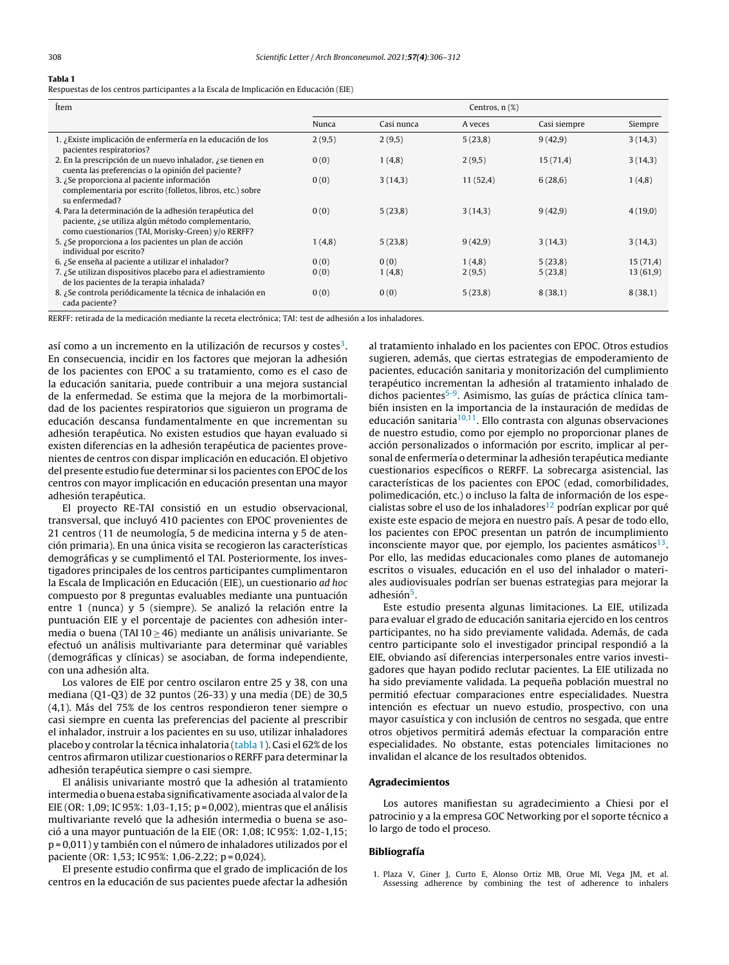# <span id="page-1-0"></span>Tabla 1

Respuestas de los centros participantes a la Escala de Implicación en Educación (EIE)

| Ítem                                                                                                                                                                | Centros, $n$ $(\%)$ |            |          |              |          |
|---------------------------------------------------------------------------------------------------------------------------------------------------------------------|---------------------|------------|----------|--------------|----------|
|                                                                                                                                                                     | Nunca               | Casi nunca | A veces  | Casi siempre | Siempre  |
| 1. ¿Existe implicación de enfermería en la educación de los<br>pacientes respiratorios?                                                                             | 2(9,5)              | 2(9,5)     | 5(23,8)  | 9(42,9)      | 3(14,3)  |
| 2. En la prescripción de un nuevo inhalador, ¿se tienen en<br>cuenta las preferencias o la opinión del paciente?                                                    | 0(0)                | 1(4,8)     | 2(9,5)   | 15(71,4)     | 3(14,3)  |
| 3. ¿Se proporciona al paciente información<br>complementaria por escrito (folletos, libros, etc.) sobre<br>su enfermedad?                                           | 0(0)                | 3(14,3)    | 11(52,4) | 6(28,6)      | 1(4,8)   |
| 4. Para la determinación de la adhesión terapéutica del<br>paciente, ¿se utiliza algún método complementario,<br>como cuestionarios (TAI, Morisky-Green) y/o RERFF? | 0(0)                | 5(23,8)    | 3(14,3)  | 9(42,9)      | 4(19,0)  |
| 5. ¿Se proporciona a los pacientes un plan de acción<br>individual por escrito?                                                                                     | 1(4,8)              | 5(23,8)    | 9(42,9)  | 3(14,3)      | 3(14,3)  |
| 6. ¿Se enseña al paciente a utilizar el inhalador?                                                                                                                  | 0(0)                | 0(0)       | 1(4,8)   | 5(23,8)      | 15(71,4) |
| 7. ¿Se utilizan dispositivos placebo para el adiestramiento<br>de los pacientes de la terapia inhalada?                                                             | 0(0)                | 1(4,8)     | 2(9,5)   | 5(23,8)      | 13(61,9) |
| 8. ¿Se controla periódicamente la técnica de inhalación en<br>cada paciente?                                                                                        | 0(0)                | 0(0)       | 5(23,8)  | 8(38,1)      | 8(38,1)  |

RERFF: retirada de la medicación mediante la receta electrónica; TAI: test de adhesión a los inhaladores.

así como a un incremento en la utilización de recursos y costes<sup>[3](#page-2-0)</sup>. En consecuencia, incidir en los factores que mejoran la adhesión de los pacientes con EPOC a su tratamiento, como es el caso de la educación sanitaria, puede contribuir a una mejora sustancial de la enfermedad. Se estima que la mejora de la morbimortalidad de los pacientes respiratorios que siguieron un programa de educación descansa fundamentalmente en que incrementan su adhesión terapéutica. No existen estudios que hayan evaluado si existen diferencias en la adhesión terapéutica de pacientes provenientes de centros con dispar implicación en educación. El objetivo del presente estudio fue determinar si los pacientes con EPOC de los centros con mayor implicación en educación presentan una mayor adhesión terapéutica.

El proyecto RE-TAI consistió en un estudio observacional, transversal, que incluyó 410 pacientes con EPOC provenientes de 21 centros (11 de neumología, 5 de medicina interna y 5 de atención primaria). En una única visita se recogieron las características demográficas y se cumplimentó el TAI. Posteriormente, los investigadores principales de los centros participantes cumplimentaron la Escala de Implicación en Educación (EIE), un cuestionario ad hoc compuesto por 8 preguntas evaluables mediante una puntuación entre 1 (nunca) y 5 (siempre). Se analizó la relación entre la puntuación EIE y el porcentaje de pacientes con adhesión intermedia o buena (TAI 10  $\geq$  46) mediante un análisis univariante. Se efectuó un análisis multivariante para determinar qué variables (demográficas y clínicas) se asociaban, de forma independiente, con una adhesión alta.

Los valores de EIE por centro oscilaron entre 25 y 38, con una mediana (Q1-Q3) de 32 puntos (26-33) y una media (DE) de 30,5 (4,1). Más del 75% de los centros respondieron tener siempre o casi siempre en cuenta las preferencias del paciente al prescribir el inhalador, instruir a los pacientes en su uso, utilizar inhaladores placebo y controlar la técnica inhalatoria (tabla 1). Casi el 62% de los centros afirmaron utilizar cuestionarios o RERFF para determinar la adhesión terapéutica siempre o casi siempre.

El análisis univariante mostró que la adhesión al tratamiento intermedia o buena estaba significativamente asociada al valor de la EIE (OR: 1,09; IC 95%: 1,03-1,15; p = 0,002), mientras que el análisis multivariante reveló que la adhesión intermedia o buena se asoció a una mayor puntuación de la EIE (OR: 1,08; IC 95%: 1,02-1,15; p = 0,011) y también con el número de inhaladores utilizados por el paciente (OR: 1,53; IC 95%: 1,06-2,22; p = 0,024).

El presente estudio confirma que el grado de implicación de los centros en la educación de sus pacientes puede afectar la adhesión al tratamiento inhalado en los pacientes con EPOC. Otros estudios sugieren, además, que ciertas estrategias de empoderamiento de pacientes, educación sanitaria y monitorización del cumplimiento terapéutico incrementan la adhesión al tratamiento inhalado de dichos pacientes<sup>[5-9](#page-2-0)</sup>. Asimismo, las guías de práctica clínica también insisten en la importancia de la instauración de medidas de educación sanitaria<sup>[10,11](#page-2-0)</sup>. Ello contrasta con algunas observaciones de nuestro estudio, como por ejemplo no proporcionar planes de acción personalizados o información por escrito, implicar al personal de enfermería o determinar la adhesión terapéutica mediante cuestionarios específicos o RERFF. La sobrecarga asistencial, las características de los pacientes con EPOC (edad, comorbilidades, polimedicación, etc.) o incluso la falta de información de los especialistas sobre el uso de los inhaladores $12$  podrían explicar por qué existe este espacio de mejora en nuestro país. A pesar de todo ello, los pacientes con EPOC presentan un patrón de incumplimiento inconsciente mayor que, por ejemplo, los pacientes asmáticos $^{13}$  $^{13}$  $^{13}$ . Por ello, las medidas educacionales como planes de automanejo escritos o visuales, educación en el uso del inhalador o materiales audiovisuales podrían ser buenas estrategias para mejorar la adhesión<sup>[5](#page-2-0)</sup>.

Este estudio presenta algunas limitaciones. La EIE, utilizada para evaluar el grado de educación sanitaria ejercido en los centros participantes, no ha sido previamente validada. Además, de cada centro participante solo el investigador principal respondió a la EIE, obviando así diferencias interpersonales entre varios investigadores que hayan podido reclutar pacientes. La EIE utilizada no ha sido previamente validada. La pequeña población muestral no permitió efectuar comparaciones entre especialidades. Nuestra intención es efectuar un nuevo estudio, prospectivo, con una mayor casuística y con inclusión de centros no sesgada, que entre otros objetivos permitirá además efectuar la comparación entre especialidades. No obstante, estas potenciales limitaciones no invalidan el alcance de los resultados obtenidos.

### Agradecimientos

Los autores manifiestan su agradecimiento a Chiesi por el patrocinio y a la empresa GOC Networking por el soporte técnico a lo largo de todo el proceso.

### Bibliografía

1. Plaza V, Giner J, Curto E, Alonso Ortiz MB, Orue MI, Vega JM, et al. Assessing adherence by combining the test of adherence to inhalers